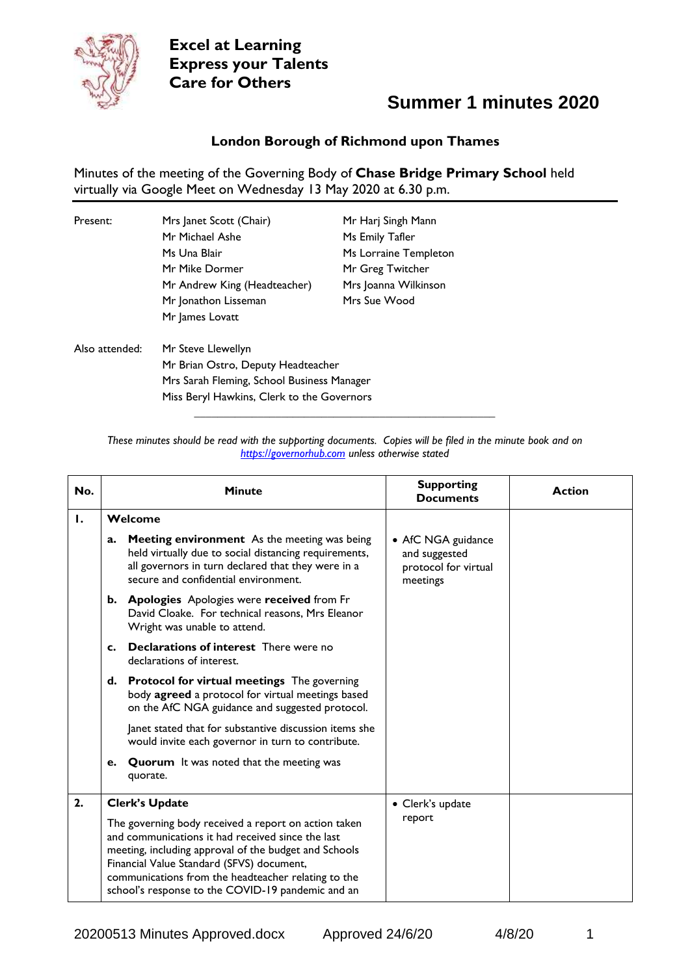

### **Summer 1 minutes 2020**

#### **London Borough of Richmond upon Thames**

Minutes of the meeting of the Governing Body of **Chase Bridge Primary School** held virtually via Google Meet on Wednesday 13 May 2020 at 6.30 p.m.

| Present:       | Mrs Janet Scott (Chair)                    | Mr Harj Singh Mann    |  |
|----------------|--------------------------------------------|-----------------------|--|
|                | Mr Michael Ashe                            | Ms Emily Tafler       |  |
|                | Ms Una Blair                               | Ms Lorraine Templeton |  |
|                | Mr Mike Dormer                             | Mr Greg Twitcher      |  |
|                | Mr Andrew King (Headteacher)               | Mrs Joanna Wilkinson  |  |
|                | Mr Jonathon Lisseman                       | Mrs Sue Wood          |  |
|                | Mr James Lovatt                            |                       |  |
| Also attended: | Mr Steve Llewellyn                         |                       |  |
|                | Mr Brian Ostro, Deputy Headteacher         |                       |  |
|                | Mrs Sarah Fleming, School Business Manager |                       |  |
|                | Miss Beryl Hawkins, Clerk to the Governors |                       |  |

*These minutes should be read with the supporting documents. Copies will be filed in the minute book and on [https://governorhub.com](https://governorhub.com/) unless otherwise stated*

**\_\_\_\_\_\_\_\_\_\_\_\_\_\_\_\_\_\_\_\_\_\_\_\_\_\_\_\_\_\_\_\_\_\_\_\_\_\_\_\_\_\_\_\_\_\_\_\_\_\_\_\_**

| No. | <b>Minute</b>                                                                                                                                                                                                                                                                                                               | <b>Supporting</b><br><b>Documents</b>                                   | <b>Action</b> |
|-----|-----------------------------------------------------------------------------------------------------------------------------------------------------------------------------------------------------------------------------------------------------------------------------------------------------------------------------|-------------------------------------------------------------------------|---------------|
| 1.  | Welcome                                                                                                                                                                                                                                                                                                                     |                                                                         |               |
|     | <b>Meeting environment</b> As the meeting was being<br>a.<br>held virtually due to social distancing requirements,<br>all governors in turn declared that they were in a<br>secure and confidential environment.                                                                                                            | • AfC NGA guidance<br>and suggested<br>protocol for virtual<br>meetings |               |
|     | b. Apologies Apologies were received from Fr<br>David Cloake. For technical reasons, Mrs Eleanor<br>Wright was unable to attend.                                                                                                                                                                                            |                                                                         |               |
|     | <b>Declarations of interest</b> There were no<br>c.<br>declarations of interest.                                                                                                                                                                                                                                            |                                                                         |               |
|     | d. Protocol for virtual meetings The governing<br>body agreed a protocol for virtual meetings based<br>on the AfC NGA guidance and suggested protocol.                                                                                                                                                                      |                                                                         |               |
|     | Janet stated that for substantive discussion items she<br>would invite each governor in turn to contribute.                                                                                                                                                                                                                 |                                                                         |               |
|     | <b>Quorum</b> It was noted that the meeting was<br>e.<br>quorate.                                                                                                                                                                                                                                                           |                                                                         |               |
| 2.  | <b>Clerk's Update</b>                                                                                                                                                                                                                                                                                                       | • Clerk's update                                                        |               |
|     | The governing body received a report on action taken<br>and communications it had received since the last<br>meeting, including approval of the budget and Schools<br>Financial Value Standard (SFVS) document,<br>communications from the headteacher relating to the<br>school's response to the COVID-19 pandemic and an | report                                                                  |               |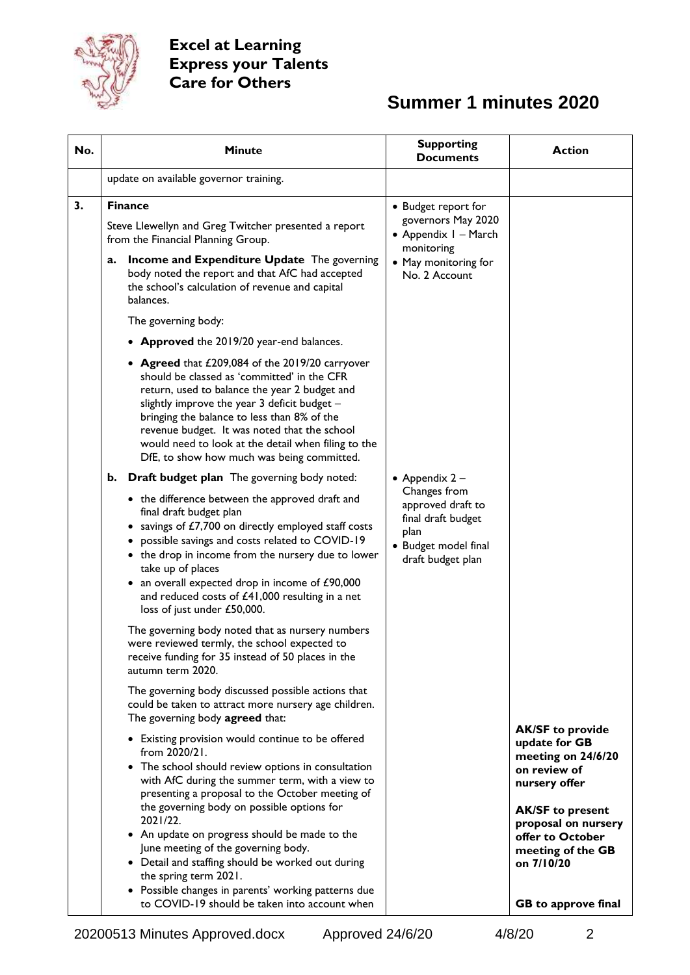

### **Summer 1 minutes 2020**

| No. | <b>Minute</b>                                                                                                                                                                                                                                                                                                                                                                                                                                                                                                                                                          | <b>Supporting</b><br><b>Documents</b>                                                                                    | <b>Action</b>                                                                                                                                                                                                                   |
|-----|------------------------------------------------------------------------------------------------------------------------------------------------------------------------------------------------------------------------------------------------------------------------------------------------------------------------------------------------------------------------------------------------------------------------------------------------------------------------------------------------------------------------------------------------------------------------|--------------------------------------------------------------------------------------------------------------------------|---------------------------------------------------------------------------------------------------------------------------------------------------------------------------------------------------------------------------------|
|     | update on available governor training.                                                                                                                                                                                                                                                                                                                                                                                                                                                                                                                                 |                                                                                                                          |                                                                                                                                                                                                                                 |
| 3.  | <b>Finance</b><br>Steve Llewellyn and Greg Twitcher presented a report<br>from the Financial Planning Group.<br>Income and Expenditure Update The governing<br>a.<br>body noted the report and that AfC had accepted<br>the school's calculation of revenue and capital<br>balances.                                                                                                                                                                                                                                                                                   | • Budget report for<br>governors May 2020<br>• Appendix I - March<br>monitoring<br>• May monitoring for<br>No. 2 Account |                                                                                                                                                                                                                                 |
|     | The governing body:                                                                                                                                                                                                                                                                                                                                                                                                                                                                                                                                                    |                                                                                                                          |                                                                                                                                                                                                                                 |
|     | • Approved the 2019/20 year-end balances.                                                                                                                                                                                                                                                                                                                                                                                                                                                                                                                              |                                                                                                                          |                                                                                                                                                                                                                                 |
|     | • Agreed that £209,084 of the 2019/20 carryover<br>should be classed as 'committed' in the CFR<br>return, used to balance the year 2 budget and<br>slightly improve the year 3 deficit budget -<br>bringing the balance to less than 8% of the<br>revenue budget. It was noted that the school<br>would need to look at the detail when filing to the<br>DfE, to show how much was being committed.                                                                                                                                                                    |                                                                                                                          |                                                                                                                                                                                                                                 |
|     | <b>Draft budget plan</b> The governing body noted:<br>b.                                                                                                                                                                                                                                                                                                                                                                                                                                                                                                               | • Appendix $2 -$                                                                                                         |                                                                                                                                                                                                                                 |
|     | • the difference between the approved draft and<br>final draft budget plan<br>• savings of £7,700 on directly employed staff costs<br>• possible savings and costs related to COVID-19<br>• the drop in income from the nursery due to lower<br>take up of places<br>• an overall expected drop in income of £90,000<br>and reduced costs of £41,000 resulting in a net<br>loss of just under £50,000.                                                                                                                                                                 | Changes from<br>approved draft to<br>final draft budget<br>plan<br>• Budget model final<br>draft budget plan             |                                                                                                                                                                                                                                 |
|     | The governing body noted that as nursery numbers<br>were reviewed termly, the school expected to<br>receive funding for 35 instead of 50 places in the<br>autumn term 2020.                                                                                                                                                                                                                                                                                                                                                                                            |                                                                                                                          |                                                                                                                                                                                                                                 |
|     | The governing body discussed possible actions that<br>could be taken to attract more nursery age children.<br>The governing body agreed that:                                                                                                                                                                                                                                                                                                                                                                                                                          |                                                                                                                          |                                                                                                                                                                                                                                 |
|     | • Existing provision would continue to be offered<br>from 2020/21.<br>• The school should review options in consultation<br>with AfC during the summer term, with a view to<br>presenting a proposal to the October meeting of<br>the governing body on possible options for<br>2021/22.<br>• An update on progress should be made to the<br>June meeting of the governing body.<br>• Detail and staffing should be worked out during<br>the spring term 2021.<br>• Possible changes in parents' working patterns due<br>to COVID-19 should be taken into account when |                                                                                                                          | <b>AK/SF to provide</b><br>update for GB<br>meeting on 24/6/20<br>on review of<br>nursery offer<br><b>AK/SF</b> to present<br>proposal on nursery<br>offer to October<br>meeting of the GB<br>on 7/10/20<br>GB to approve final |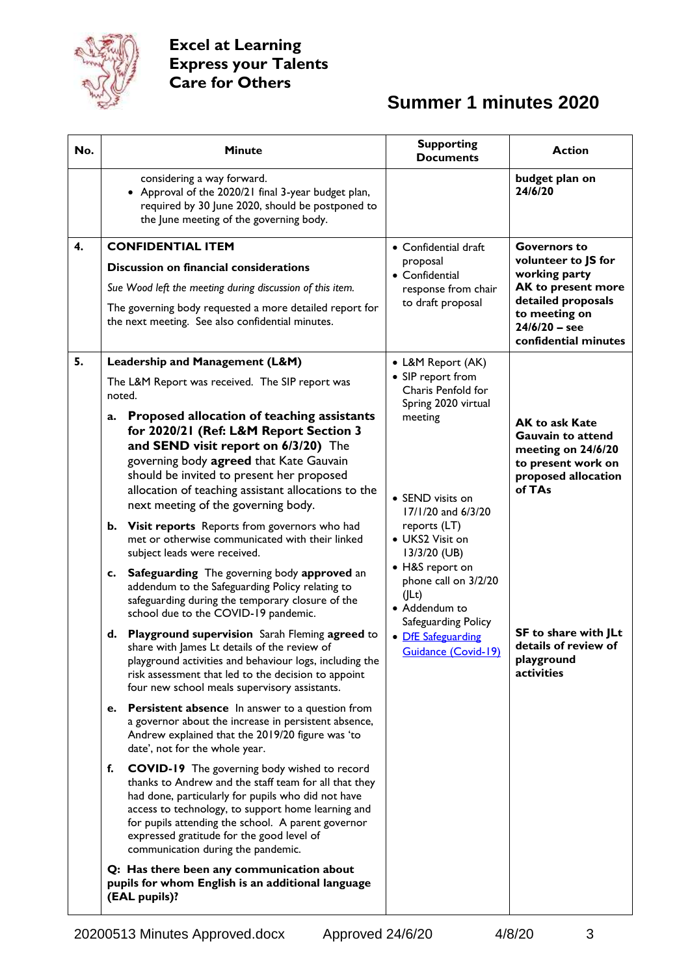

# **Summer 1 minutes 2020**

| No. |        | <b>Minute</b>                                                                                                                                                                                                                                                                                                                                                     | <b>Supporting</b><br><b>Documents</b>                                                                                                                                                                                                                                | <b>Action</b>                                                                                                                                                       |
|-----|--------|-------------------------------------------------------------------------------------------------------------------------------------------------------------------------------------------------------------------------------------------------------------------------------------------------------------------------------------------------------------------|----------------------------------------------------------------------------------------------------------------------------------------------------------------------------------------------------------------------------------------------------------------------|---------------------------------------------------------------------------------------------------------------------------------------------------------------------|
|     |        | considering a way forward.<br>• Approval of the 2020/21 final 3-year budget plan,<br>required by 30 June 2020, should be postponed to<br>the June meeting of the governing body.                                                                                                                                                                                  |                                                                                                                                                                                                                                                                      | budget plan on<br>24/6/20                                                                                                                                           |
| 4.  |        | <b>CONFIDENTIAL ITEM</b>                                                                                                                                                                                                                                                                                                                                          | • Confidential draft                                                                                                                                                                                                                                                 | <b>Governors to</b><br>volunteer to JS for<br>working party<br>AK to present more<br>detailed proposals<br>to meeting on<br>$24/6/20 -$ see<br>confidential minutes |
|     |        | Discussion on financial considerations                                                                                                                                                                                                                                                                                                                            | proposal<br>• Confidential                                                                                                                                                                                                                                           |                                                                                                                                                                     |
|     |        | Sue Wood left the meeting during discussion of this item.                                                                                                                                                                                                                                                                                                         | response from chair                                                                                                                                                                                                                                                  |                                                                                                                                                                     |
|     |        | The governing body requested a more detailed report for<br>the next meeting. See also confidential minutes.                                                                                                                                                                                                                                                       | to draft proposal                                                                                                                                                                                                                                                    |                                                                                                                                                                     |
| 5.  |        | Leadership and Management (L&M)                                                                                                                                                                                                                                                                                                                                   | • L&M Report (AK)                                                                                                                                                                                                                                                    |                                                                                                                                                                     |
|     | noted. | The L&M Report was received. The SIP report was                                                                                                                                                                                                                                                                                                                   | • SIP report from<br>Charis Penfold for                                                                                                                                                                                                                              |                                                                                                                                                                     |
|     | a.     | Proposed allocation of teaching assistants<br>for 2020/21 (Ref: L&M Report Section 3<br>and SEND visit report on 6/3/20) The                                                                                                                                                                                                                                      | Spring 2020 virtual<br>meeting<br>• SEND visits on<br>17/1/20 and 6/3/20<br>reports (LT)<br>• UKS2 Visit on<br>13/3/20 (UB)<br>• H&S report on<br>phone call on 3/2/20<br>(ILt)<br>• Addendum to<br>Safeguarding Policy<br>• DfE Safeguarding<br>Guidance (Covid-19) | <b>AK to ask Kate</b><br><b>Gauvain to attend</b><br>meeting on 24/6/20                                                                                             |
|     |        | governing body agreed that Kate Gauvain<br>should be invited to present her proposed<br>allocation of teaching assistant allocations to the<br>next meeting of the governing body.                                                                                                                                                                                |                                                                                                                                                                                                                                                                      | to present work on<br>proposed allocation<br>of TAs                                                                                                                 |
|     | b.     | Visit reports Reports from governors who had<br>met or otherwise communicated with their linked<br>subject leads were received.                                                                                                                                                                                                                                   |                                                                                                                                                                                                                                                                      |                                                                                                                                                                     |
|     | c.     | Safeguarding The governing body approved an<br>addendum to the Safeguarding Policy relating to<br>safeguarding during the temporary closure of the<br>school due to the COVID-19 pandemic.                                                                                                                                                                        |                                                                                                                                                                                                                                                                      |                                                                                                                                                                     |
|     | d.     | <b>Playground supervision</b> Sarah Fleming agreed to<br>share with James Lt details of the review of<br>playground activities and behaviour logs, including the<br>risk assessment that led to the decision to appoint<br>four new school meals supervisory assistants.                                                                                          |                                                                                                                                                                                                                                                                      | SF to share with JLt<br>details of review of<br>playground<br>activities                                                                                            |
|     | е.     | <b>Persistent absence</b> In answer to a question from<br>a governor about the increase in persistent absence,<br>Andrew explained that the 2019/20 figure was 'to<br>date', not for the whole year.                                                                                                                                                              |                                                                                                                                                                                                                                                                      |                                                                                                                                                                     |
|     | f.     | <b>COVID-19</b> The governing body wished to record<br>thanks to Andrew and the staff team for all that they<br>had done, particularly for pupils who did not have<br>access to technology, to support home learning and<br>for pupils attending the school. A parent governor<br>expressed gratitude for the good level of<br>communication during the pandemic. |                                                                                                                                                                                                                                                                      |                                                                                                                                                                     |
|     |        | Q: Has there been any communication about<br>pupils for whom English is an additional language<br>(EAL pupils)?                                                                                                                                                                                                                                                   |                                                                                                                                                                                                                                                                      |                                                                                                                                                                     |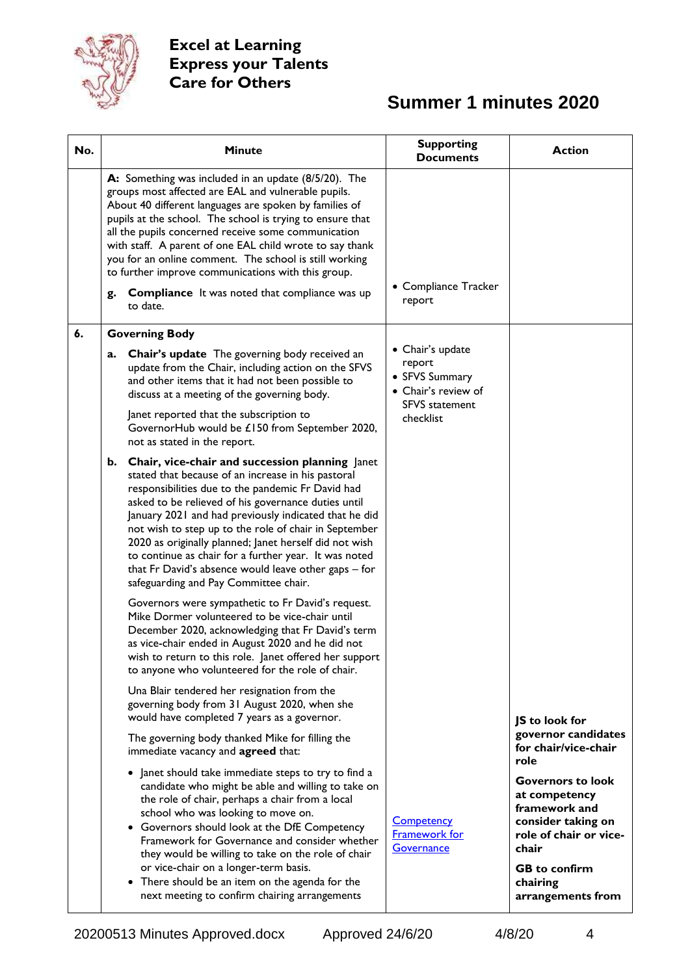

# **Summer 1 minutes 2020**

| No. | <b>Minute</b>                                                                                                                                                                                                                                                                                                                                                                                                                                                                                                                                              | <b>Supporting</b><br><b>Documents</b>                                                                     | <b>Action</b>                                                                                                                                                                |
|-----|------------------------------------------------------------------------------------------------------------------------------------------------------------------------------------------------------------------------------------------------------------------------------------------------------------------------------------------------------------------------------------------------------------------------------------------------------------------------------------------------------------------------------------------------------------|-----------------------------------------------------------------------------------------------------------|------------------------------------------------------------------------------------------------------------------------------------------------------------------------------|
|     | A: Something was included in an update (8/5/20). The<br>groups most affected are EAL and vulnerable pupils.<br>About 40 different languages are spoken by families of<br>pupils at the school. The school is trying to ensure that<br>all the pupils concerned receive some communication<br>with staff. A parent of one EAL child wrote to say thank<br>you for an online comment. The school is still working<br>to further improve communications with this group.<br><b>Compliance</b> It was noted that compliance was up<br>g.<br>to date.           | • Compliance Tracker<br>report                                                                            |                                                                                                                                                                              |
| 6.  | <b>Governing Body</b>                                                                                                                                                                                                                                                                                                                                                                                                                                                                                                                                      |                                                                                                           |                                                                                                                                                                              |
|     | <b>Chair's update</b> The governing body received an<br>a.<br>update from the Chair, including action on the SFVS<br>and other items that it had not been possible to<br>discuss at a meeting of the governing body.<br>Janet reported that the subscription to<br>GovernorHub would be £150 from September 2020,<br>not as stated in the report.                                                                                                                                                                                                          | • Chair's update<br>report<br>• SFVS Summary<br>• Chair's review of<br><b>SFVS</b> statement<br>checklist |                                                                                                                                                                              |
|     | b. Chair, vice-chair and succession planning Janet<br>stated that because of an increase in his pastoral<br>responsibilities due to the pandemic Fr David had<br>asked to be relieved of his governance duties until<br>January 2021 and had previously indicated that he did<br>not wish to step up to the role of chair in September<br>2020 as originally planned; Janet herself did not wish<br>to continue as chair for a further year. It was noted<br>that Fr David's absence would leave other gaps - for<br>safeguarding and Pay Committee chair. |                                                                                                           |                                                                                                                                                                              |
|     | Governors were sympathetic to Fr David's request.<br>Mike Dormer volunteered to be vice-chair until<br>December 2020, acknowledging that Fr David's term<br>as vice-chair ended in August 2020 and he did not<br>wish to return to this role. Janet offered her support<br>to anyone who volunteered for the role of chair.                                                                                                                                                                                                                                |                                                                                                           |                                                                                                                                                                              |
|     | Una Blair tendered her resignation from the<br>governing body from 31 August 2020, when she<br>would have completed 7 years as a governor.                                                                                                                                                                                                                                                                                                                                                                                                                 |                                                                                                           | JS to look for                                                                                                                                                               |
|     | The governing body thanked Mike for filling the<br>immediate vacancy and agreed that:                                                                                                                                                                                                                                                                                                                                                                                                                                                                      |                                                                                                           | governor candidates<br>for chair/vice-chair<br>role                                                                                                                          |
|     | • Janet should take immediate steps to try to find a<br>candidate who might be able and willing to take on<br>the role of chair, perhaps a chair from a local<br>school who was looking to move on.<br>• Governors should look at the DfE Competency<br>Framework for Governance and consider whether<br>they would be willing to take on the role of chair<br>or vice-chair on a longer-term basis.<br>• There should be an item on the agenda for the<br>next meeting to confirm chairing arrangements                                                   | <b>Competency</b><br><b>Framework for</b><br>Governance                                                   | <b>Governors to look</b><br>at competency<br>framework and<br>consider taking on<br>role of chair or vice-<br>chair<br><b>GB</b> to confirm<br>chairing<br>arrangements from |